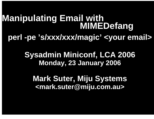## **Manipulating Email with<br>MIMEDefang perl -pe 's/xxx/xxx/magic' <your email>**

**Sysadmin Miniconf, LCA 2006 Monday, 23 January 2006**

**Mark Suter, Miju Systems <mark.suter@miju.com.au>**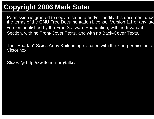#### **Copyright 2006 Mark Suter**

Permission is granted to copy, distribute and/or modify this document under the terms of the GNU Free Documentation License, Version 1.1 or any late version published by the Free Software Foundation; with no Invariant Section, with no Front-Cover Texts, and with no Back-Cover Texts.

The "Spartan" Swiss Army Knife image is used with the kind permission of Victorinox.

Slides @ http://zwitterion.org/talks/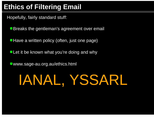## **Ethics of Filtering Email**

Hopefully, fairly standard stuff:

**Breaks the gentleman's agreement over email** 

**Have a written policy (often, just one page)** 

**Let it be known what you're doing and why** 

■ www.sage-au.org.au/ethics.html

# IANAL, YSSARL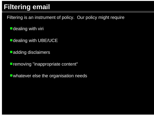## **Filtering email**

Filtering is an instrument of policy. Our policy might require

**dealing with viri** 

- **dealing with UBE/UCE**
- **L**adding disclaimers

**Filter removing "inappropriate content"** 

**L** whatever else the organisation needs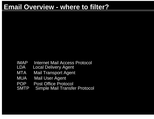#### **Email Overview - where to filter?**

- IMAP Internet Mail Access Protocol
- LDA Local Delivery Agent
- MTA Mail Transport Agent
- MUA Mail User Agent
- POP Post Office Protocol
- SMTP Simple Mail Transfer Protocol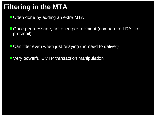#### **Filtering in the MTA**

**Often done by adding an extra MTA** 

Once per message, not once per recipient (compare to LDA like procmail)

■ Can filter even when just relaying (no need to deliver)

**UVery powerful SMTP transaction manipulation**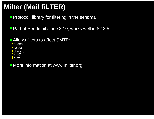## **Milter (Mail fiLTER)**

**Protocol+library for filtering in the sendmail** 

**Part of Sendmail since 8.10, works well in 8.13.5** 

- **Allows filters to affect SMTP:** 
	- accept
- **•** reject
- discard  $\bullet$  copy
- alter ...

**I** More information at www.milter.org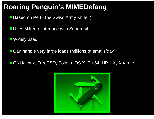#### **Roaring Penguin's MIMEDefang**

- **Based on Perl the Swiss Army Knife ;)**
- **Lature Uses Milter to interface with Sendmail**
- ■Widely used
- **Can handle very large loads (millions of emails/day)**
- ■GNU/Linux, FreeBSD, Solaris, OS X, Tru64, HP-UX, AIX, etc

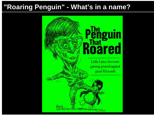#### **"Roaring Penguin" - What's in a name?**

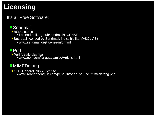## **Licensing**

#### It's all Free Software:

#### **Sendmail**

**BSD License** 

- ftp.sendmail.org/pub/sendmail/LICENSE
- But, dual licensed by Sendmail, Inc (a bit like MySQL AB)
	- www.sendmail.org/license-info.html

#### **Perl**

**Perl Artistic License** www.perl.com/language/misc/Artistic.html

#### ■MIMEDefang

**GNU General Public License** www.roaringpenguin.com/penguin/open\_source\_mimedefang.php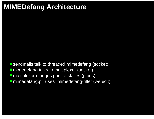#### **MIMEDefang Architecture**

■ sendmails talk to threaded mimedefang (socket) ■ mimedefang talks to multiplexor (socket) **I** multiplexor manges pool of slaves (pipes) ■ mimedefang.pl "uses" mimedefang-filter (we edit)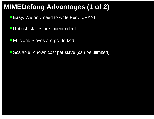#### **MIMEDefang Advantages (1 of 2)**

**Easy: We only need to write Perl. CPAN!** 

Robust: slaves are independent

**Efficient: Slaves are pre-forked** 

■ Scalable: Known cost per slave (can be ulimited)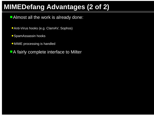#### **MIMEDefang Advantages (2 of 2)**

Almost all the work is already done:

- Anti-Virus hooks (e.g. ClamAV, Sophos)
- **SpamAssassin hooks**
- MIME processing is handled
- **A fairly complete interface to Milter**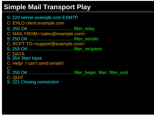#### **Simple Mail Transport Play**

S: 220 server.example.com ESMTP C: EHLO client.example.com S: 250 OK ................................... filter\_relay C: MAIL FROM:<sales@example.com> S: 250 OK ................................... filter\_sender C: RCPT TO:<support@example.com> S: 250 OK ................................... filter\_recipient C: DATAS: 354 Start Input C: Help! I can't send emails! C: . S: 250 OK ................................... filter\_begin, filter, filter\_end C: QUIT S: 221 Closing connection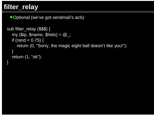#### **filter\_relay**

Doptional (we've got sendmail's acls)

```
sub filter_relay ($$$) {
   \overline{my} ($ip, $name, $helo) = @_{\dots};
   if (rand < 0.75) {
      return (0, "Sorry, the magic eight ball doesn't like you!");
   }
   return (1, "ok");
}
```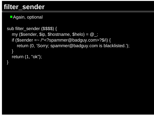}

Again, optional

```
sub filter_sender ($$$$) {
  my ($sender, $ip, $hostname, $helo) = @;
  if ($sender =~ / \sim?spammer@badguy.com > ?$/i) {
     return (0, 'Sorry; spammer@badguy.com is blacklisted.');
  }
  return (1, "ok");
```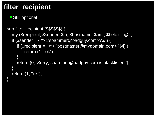#### **filter\_recipient**

#### ■Still optional

}

```
sub filter_recipient ($$$$$$) {
  my ($recipient, $sender, $ip, $hostname, $first, $helo) = \omega;
  if ($sender = \sim /^<?spammer@badguy.com > ?$/i) {
     if ($recipient = \sim /^<?postmaster@mydomain.com>?$/i) {
         return (1, "ok");
     }
     return (0, 'Sorry; spammer@badguy.com is blacklisted.');
  }
  return (1, "ok");
```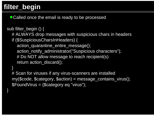### **filter\_begin**

■ Called once the email is ready to be processed

#### sub filter\_begin () {

}

}

- # ALWAYS drop messages with suspicious chars in headers
- if (\$SuspiciousCharsInHeaders) {
	- action\_quarantine\_entire\_message();
	- action\_notify\_administrator("Suspicious characters");
	- # Do NOT allow message to reach recipient(s)
	- return action\_discard();

# Scan for viruses if any virus-scanners are installed my(\$code, \$category, \$action) = message\_contains\_virus(); \$FoundVirus = (\$category eq "virus");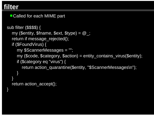■ Called for each MIME part

```
sub filter ($$$$) {
  my ($entity, $fname, $ext, $type) = \omega;
  return if message_rejected();
  if ($FoundVirus) {
     my $ScannerMessages = "";
     my ($code, $category, $action) = entity_contains_virus($entity);
     if ($category eq "virus") {
       return action_quarantine($entity, "$ScannerMessages\n");
     }
  }
  return action_accept();
}
```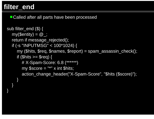#### **filter\_end**

}

■ Called after all parts have been processed

```
sub filter_end ($) {
  my(\mathsf{Sentity}) = \mathcal{Q};
  return if message_rejected();
  if (-s "INPUTMSG" < 100*1024) {
     my ($hits, $req, $names, $report) = spam_assassin_check();
     if (\text{Shifts} >= \text{freq}) {
        # X-Spam-Score: 6.8 (******)
        my $score = "**" \times int $hits;action_change_header("X-Spam-Score", "$hits ($score)");
     }
   }
```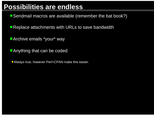#### **Possibilities are endless**

- Sendmail macros are available (remember the bat book?)
- **Replace attachments with URLs to save bandwidth**
- **Archive emails \*your\* way**
- **Anything that can be coded:**
- Always true; however Perl+CPAN make this easier.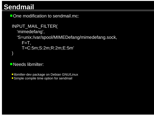#### **Sendmail**

**One modification to sendmail.mc:** 

```
INPUT_MAIL_FILTER(
  'mimedefang',
  'S=unix:/var/spool/MIMEDefang/mimedefang.sock,
    F=T,
    T=C:5m;S:2m;R:2m;E:5m'
)
```
**Needs libmilter:** 

- **· libmilter-dev package on Debian GNU/Linux**
- **Simple compile time option for sendmail**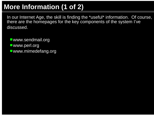## **More Information (1 of 2)**

In our Internet Age, the skill is finding the \*useful\* information. Of course, there are the homepages for the key components of the system I've discussed.

■www.sendmail.org

- ■www.perl.org
- ■www.mimedefang.org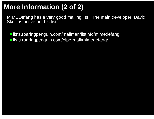## **More Information (2 of 2)**

MIMEDefang has a very good mailing list. The main developer, David F. Skoll, is active on this list.

■lists.roaringpenguin.com/mailman/listinfo/mimedefang ■lists.roaringpenguin.com/pipermail/mimedefang/